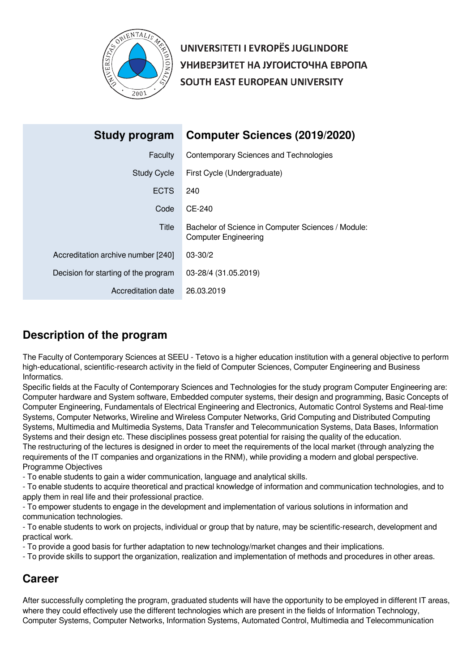

UNIVERSITETI I EVROPËS JUGLINDORE УНИВЕРЗИТЕТ НА ЈУГОИСТОЧНА ЕВРОПА SOUTH EAST EUROPEAN UNIVERSITY

| <b>Study program</b>                 | <b>Computer Sciences (2019/2020)</b>                                              |
|--------------------------------------|-----------------------------------------------------------------------------------|
| Faculty                              | Contemporary Sciences and Technologies                                            |
| <b>Study Cycle</b>                   | First Cycle (Undergraduate)                                                       |
| <b>ECTS</b>                          | 240                                                                               |
| Code                                 | CE-240                                                                            |
| Title                                | Bachelor of Science in Computer Sciences / Module:<br><b>Computer Engineering</b> |
| Accreditation archive number [240]   | $03 - 30/2$                                                                       |
| Decision for starting of the program | 03-28/4 (31.05.2019)                                                              |
| Accreditation date                   | 26.03.2019                                                                        |

# **Description of the program**

The Faculty of Contemporary Sciences at SEEU - Tetovo is a higher education institution with a general objective to perform high-educational, scientific-research activity in the field of Computer Sciences, Computer Engineering and Business Informatics.

Specific fields at the Faculty of Contemporary Sciences and Technologies for the study program Computer Engineering are: Computer hardware and System software, Embedded computer systems, their design and programming, Basic Concepts of Computer Engineering, Fundamentals of Electrical Engineering and Electronics, Automatic Control Systems and Real-time Systems, Computer Networks, Wireline and Wireless Computer Networks, Grid Computing and Distributed Computing Systems, Multimedia and Multimedia Systems, Data Transfer and Telecommunication Systems, Data Bases, Information Systems and their design etc. These disciplines possess great potential for raising the quality of the education. The restructuring of the lectures is designed in order to meet the requirements of the local market (through analyzing the requirements of the IT companies and organizations in the RNM), while providing a modern and global perspective.

## Programme Objectives

- To enable students to gain a wider communication, language and analytical skills.

- To enable students to acquire theoretical and practical knowledge of information and communication technologies, and to apply them in real life and their professional practice.

- To empower students to engage in the development and implementation of various solutions in information and communication technologies.

- To enable students to work on projects, individual or group that by nature, may be scientific-research, development and practical work.

- To provide a good basis for further adaptation to new technology/market changes and their implications.

- To provide skills to support the organization, realization and implementation of methods and procedures in other areas.

# **Career**

After successfully completing the program, graduated students will have the opportunity to be employed in different IT areas, where they could effectively use the different technologies which are present in the fields of Information Technology, Computer Systems, Computer Networks, Information Systems, Automated Control, Multimedia and Telecommunication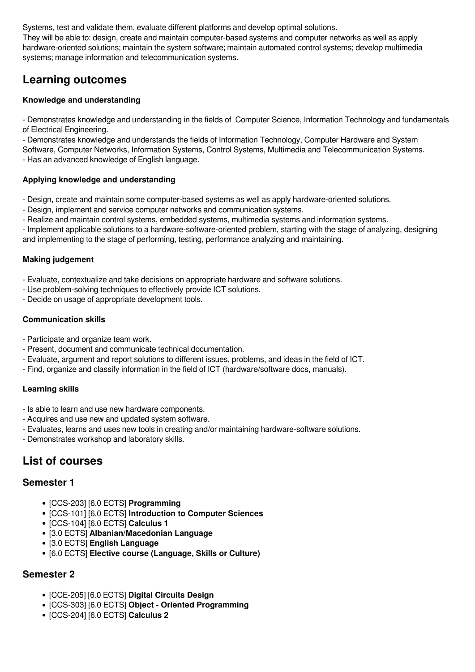Systems, test and validate them, evaluate different platforms and develop optimal solutions. They will be able to: design, create and maintain computer-based systems and computer networks as well as apply hardware-oriented solutions; maintain the system software; maintain automated control systems; develop multimedia systems; manage information and telecommunication systems.

# **Learning outcomes**

## **Knowledge and understanding**

- Demonstrates knowledge and understanding in the fields of Computer Science, Information Technology and fundamentals of Electrical Engineering.

- Demonstrates knowledge and understands the fields of Information Technology, Computer Hardware and System Software, Computer Networks, Information Systems, Control Systems, Multimedia and Telecommunication Systems.

- Has an advanced knowledge of English language.

## **Applying knowledge and understanding**

- Design, create and maintain some computer-based systems as well as apply hardware-oriented solutions.

- Design, implement and service computer networks and communication systems.
- Realize and maintain control systems, embedded systems, multimedia systems and information systems.

- Implement applicable solutions to a hardware-software-oriented problem, starting with the stage of analyzing, designing and implementing to the stage of performing, testing, performance analyzing and maintaining.

## **Making judgement**

- Evaluate, contextualize and take decisions on appropriate hardware and software solutions.

- Use problem-solving techniques to effectively provide ICT solutions.
- Decide on usage of appropriate development tools.

## **Communication skills**

- Participate and organize team work.
- Present, document and communicate technical documentation.
- Evaluate, argument and report solutions to different issues, problems, and ideas in the field of ICT.
- Find, organize and classify information in the field of ICT (hardware/software docs, manuals).

## **Learning skills**

- Is able to learn and use new hardware components.
- Acquires and use new and updated system software.
- Evaluates, learns and uses new tools in creating and/or maintaining hardware-software solutions.
- Demonstrates workshop and laboratory skills.

# **List of courses**

# **Semester 1**

- [CCS-203] [6.0 ECTS] **Programming**
- [CCS-101] [6.0 ECTS] **Introduction to Computer Sciences**
- [CCS-104] [6.0 ECTS] **Calculus 1**
- [3.0 ECTS] **Albanian/Macedonian Language**
- [3.0 ECTS] **English Language**
- [6.0 ECTS] **Elective course (Language, Skills or Culture)**

# **Semester 2**

- [CCE-205] [6.0 ECTS] **Digital Circuits Design**
- [CCS-303] [6.0 ECTS] **Object Oriented Programming**
- [CCS-204] [6.0 ECTS] **Calculus 2**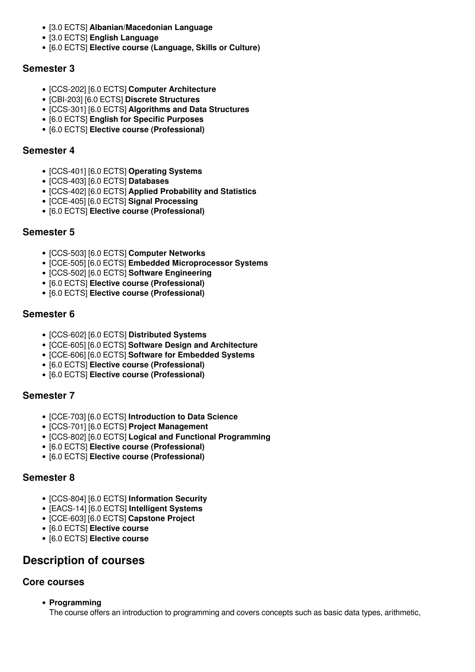- [3.0 ECTS] **Albanian/Macedonian Language**
- [3.0 ECTS] **English Language**
- [6.0 ECTS] **Elective course (Language, Skills or Culture)**

# **Semester 3**

- [CCS-202] [6.0 ECTS] **Computer Architecture**
- [CBI-203] [6.0 ECTS] **Discrete Structures**
- [CCS-301] [6.0 ECTS] **Algorithms and Data Structures**
- [6.0 ECTS] **English for Specific Purposes**
- [6.0 ECTS] **Elective course (Professional)**

# **Semester 4**

- [CCS-401] [6.0 ECTS] **Operating Systems**
- [CCS-403] [6.0 ECTS] **Databases**
- [CCS-402] [6.0 ECTS] **Applied Probability and Statistics**
- [CCE-405] [6.0 ECTS] **Signal Processing**
- [6.0 ECTS] **Elective course (Professional)**

# **Semester 5**

- [CCS-503] [6.0 ECTS] **Computer Networks**
- [CCE-505] [6.0 ECTS] **Embedded Microprocessor Systems**
- [CCS-502] [6.0 ECTS] **Software Engineering**
- [6.0 ECTS] **Elective course (Professional)**
- [6.0 ECTS] **Elective course (Professional)**

# **Semester 6**

- [CCS-602] [6.0 ECTS] **Distributed Systems**
- [CCE-605] [6.0 ECTS] **Software Design and Architecture**
- [CCE-606] [6.0 ECTS] **Software for Embedded Systems**
- [6.0 ECTS] **Elective course (Professional)**
- [6.0 ECTS] **Elective course (Professional)**

# **Semester 7**

- [CCE-703] [6.0 ECTS] **Introduction to Data Science**
- [CCS-701] [6.0 ECTS] **Project Management**
- [CCS-802] [6.0 ECTS] **Logical and Functional Programming**
- [6.0 ECTS] **Elective course (Professional)**
- [6.0 ECTS] **Elective course (Professional)**

# **Semester 8**

- [CCS-804] [6.0 ECTS] **Information Security**
- [EACS-14] [6.0 ECTS] **Intelligent Systems**
- [CCE-603] [6.0 ECTS] **Capstone Project**
- [6.0 ECTS] **Elective course**
- [6.0 ECTS] **Elective course**

# **Description of courses**

# **Core courses**

**Programming**

The course offers an introduction to programming and covers concepts such as basic data types, arithmetic,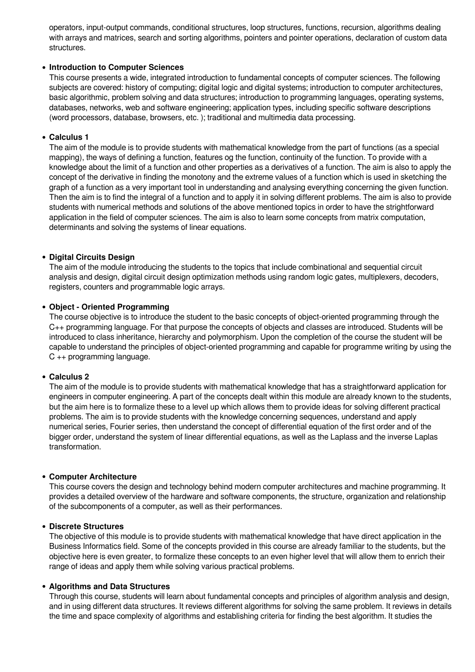operators, input-output commands, conditional structures, loop structures, functions, recursion, algorithms dealing with arrays and matrices, search and sorting algorithms, pointers and pointer operations, declaration of custom data structures.

#### **Introduction to Computer Sciences**

This course presents a wide, integrated introduction to fundamental concepts of computer sciences. The following subjects are covered: history of computing; digital logic and digital systems; introduction to computer architectures, basic algorithmic, problem solving and data structures; introduction to programming languages, operating systems, databases, networks, web and software engineering; application types, including specific software descriptions (word processors, database, browsers, etc. ); traditional and multimedia data processing.

#### **Calculus 1**

The aim of the module is to provide students with mathematical knowledge from the part of functions (as a special mapping), the ways of defining a function, features og the function, continuity of the function. To provide with a knowledge about the limit of a function and other properties as a derivatives of a function. The aim is also to apply the concept of the derivative in finding the monotony and the extreme values of a function which is used in sketching the graph of a function as a very important tool in understanding and analysing everything concerning the given function. Then the aim is to find the integral of a function and to apply it in solving different problems. The aim is also to provide students with numerical methods and solutions of the above mentioned topics in order to have the strightforward application in the field of computer sciences. The aim is also to learn some concepts from matrix computation, determinants and solving the systems of linear equations.

#### **Digital Circuits Design**

The aim of the module introducing the students to the topics that include combinational and sequential circuit analysis and design, digital circuit design optimization methods using random logic gates, multiplexers, decoders, registers, counters and programmable logic arrays.

#### **Object - Oriented Programming**

The course objective is to introduce the student to the basic concepts of object-oriented programming through the C++ programming language. For that purpose the concepts of objects and classes are introduced. Students will be introduced to class inheritance, hierarchy and polymorphism. Upon the completion of the course the student will be capable to understand the principles of object-oriented programming and capable for programme writing by using the C ++ programming language.

#### **Calculus 2**

The aim of the module is to provide students with mathematical knowledge that has a straightforward application for engineers in computer engineering. A part of the concepts dealt within this module are already known to the students, but the aim here is to formalize these to a level up which allows them to provide ideas for solving different practical problems. The aim is to provide students with the knowledge concerning sequences, understand and apply numerical series, Fourier series, then understand the concept of differential equation of the first order and of the bigger order, understand the system of linear differential equations, as well as the Laplass and the inverse Laplas transformation.

#### **Computer Architecture**

This course covers the design and technology behind modern computer architectures and machine programming. It provides a detailed overview of the hardware and software components, the structure, organization and relationship of the subcomponents of a computer, as well as their performances.

#### **Discrete Structures**

The objective of this module is to provide students with mathematical knowledge that have direct application in the Business Informatics field. Some of the concepts provided in this course are already familiar to the students, but the objective here is even greater, to formalize these concepts to an even higher level that will allow them to enrich their range of ideas and apply them while solving various practical problems.

#### **Algorithms and Data Structures**

Through this course, students will learn about fundamental concepts and principles of algorithm analysis and design, and in using different data structures. It reviews different algorithms for solving the same problem. It reviews in details the time and space complexity of algorithms and establishing criteria for finding the best algorithm. It studies the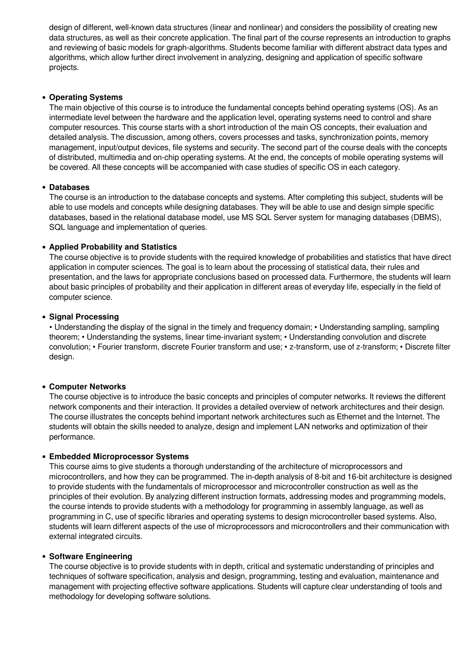design of different, well-known data structures (linear and nonlinear) and considers the possibility of creating new data structures, as well as their concrete application. The final part of the course represents an introduction to graphs and reviewing of basic models for graph-algorithms. Students become familiar with different abstract data types and algorithms, which allow further direct involvement in analyzing, designing and application of specific software projects.

#### **Operating Systems**

The main objective of this course is to introduce the fundamental concepts behind operating systems (OS). As an intermediate level between the hardware and the application level, operating systems need to control and share computer resources. This course starts with a short introduction of the main OS concepts, their evaluation and detailed analysis. The discussion, among others, covers processes and tasks, synchronization points, memory management, input/output devices, file systems and security. The second part of the course deals with the concepts of distributed, multimedia and on-chip operating systems. At the end, the concepts of mobile operating systems will be covered. All these concepts will be accompanied with case studies of specific OS in each category.

## **Databases**

The course is an introduction to the database concepts and systems. After completing this subject, students will be able to use models and concepts while designing databases. They will be able to use and design simple specific databases, based in the relational database model, use MS SQL Server system for managing databases (DBMS), SQL language and implementation of queries.

## **Applied Probability and Statistics**

The course objective is to provide students with the required knowledge of probabilities and statistics that have direct application in computer sciences. The goal is to learn about the processing of statistical data, their rules and presentation, and the laws for appropriate conclusions based on processed data. Furthermore, the students will learn about basic principles of probability and their application in different areas of everyday life, especially in the field of computer science.

#### **• Signal Processing**

• Understanding the display of the signal in the timely and frequency domain; • Understanding sampling, sampling theorem; • Understanding the systems, linear time-invariant system; • Understanding convolution and discrete convolution; • Fourier transform, discrete Fourier transform and use; • z-transform, use of z-transform; • Discrete filter design.

#### **Computer Networks**

The course objective is to introduce the basic concepts and principles of computer networks. It reviews the different network components and their interaction. It provides a detailed overview of network architectures and their design. The course illustrates the concepts behind important network architectures such as Ethernet and the Internet. The students will obtain the skills needed to analyze, design and implement LAN networks and optimization of their performance.

#### **Embedded Microprocessor Systems**

This course aims to give students a thorough understanding of the architecture of microprocessors and microcontrollers, and how they can be programmed. The in-depth analysis of 8-bit and 16-bit architecture is designed to provide students with the fundamentals of microprocessor and microcontroller construction as well as the principles of their evolution. By analyzing different instruction formats, addressing modes and programming models, the course intends to provide students with a methodology for programming in assembly language, as well as programming in C, use of specific libraries and operating systems to design microcontroller based systems. Also, students will learn different aspects of the use of microprocessors and microcontrollers and their communication with external integrated circuits.

#### **Software Engineering**

The course objective is to provide students with in depth, critical and systematic understanding of principles and techniques of software specification, analysis and design, programming, testing and evaluation, maintenance and management with projecting effective software applications. Students will capture clear understanding of tools and methodology for developing software solutions.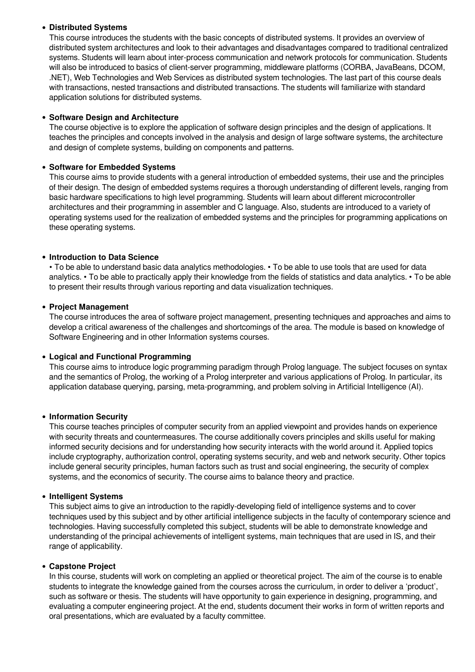## **Distributed Systems**

This course introduces the students with the basic concepts of distributed systems. It provides an overview of distributed system architectures and look to their advantages and disadvantages compared to traditional centralized systems. Students will learn about inter-process communication and network protocols for communication. Students will also be introduced to basics of client-server programming, middleware platforms (CORBA, JavaBeans, DCOM, .NET), Web Technologies and Web Services as distributed system technologies. The last part of this course deals with transactions, nested transactions and distributed transactions. The students will familiarize with standard application solutions for distributed systems.

#### **Software Design and Architecture**

The course objective is to explore the application of software design principles and the design of applications. It teaches the principles and concepts involved in the analysis and design of large software systems, the architecture and design of complete systems, building on components and patterns.

## **Software for Embedded Systems**

This course aims to provide students with a general introduction of embedded systems, their use and the principles of their design. The design of embedded systems requires a thorough understanding of different levels, ranging from basic hardware specifications to high level programming. Students will learn about different microcontroller architectures and their programming in assembler and C language. Also, students are introduced to a variety of operating systems used for the realization of embedded systems and the principles for programming applications on these operating systems.

## **Introduction to Data Science**

• To be able to understand basic data analytics methodologies. • To be able to use tools that are used for data analytics. • To be able to practically apply their knowledge from the fields of statistics and data analytics. • To be able to present their results through various reporting and data visualization techniques.

#### **Project Management**

The course introduces the area of software project management, presenting techniques and approaches and aims to develop a critical awareness of the challenges and shortcomings of the area. The module is based on knowledge of Software Engineering and in other Information systems courses.

#### **Logical and Functional Programming**

This course aims to introduce logic programming paradigm through Prolog language. The subject focuses on syntax and the semantics of Prolog, the working of a Prolog interpreter and various applications of Prolog. In particular, its application database querying, parsing, meta-programming, and problem solving in Artificial Intelligence (AI).

#### **Information Security**

This course teaches principles of computer security from an applied viewpoint and provides hands on experience with security threats and countermeasures. The course additionally covers principles and skills useful for making informed security decisions and for understanding how security interacts with the world around it. Applied topics include cryptography, authorization control, operating systems security, and web and network security. Other topics include general security principles, human factors such as trust and social engineering, the security of complex systems, and the economics of security. The course aims to balance theory and practice.

#### **Intelligent Systems**

This subject aims to give an introduction to the rapidly-developing field of intelligence systems and to cover techniques used by this subject and by other artificial intelligence subjects in the faculty of contemporary science and technologies. Having successfully completed this subject, students will be able to demonstrate knowledge and understanding of the principal achievements of intelligent systems, main techniques that are used in IS, and their range of applicability.

#### **Capstone Project**

In this course, students will work on completing an applied or theoretical project. The aim of the course is to enable students to integrate the knowledge gained from the courses across the curriculum, in order to deliver a 'product', such as software or thesis. The students will have opportunity to gain experience in designing, programming, and evaluating a computer engineering project. At the end, students document their works in form of written reports and oral presentations, which are evaluated by a faculty committee.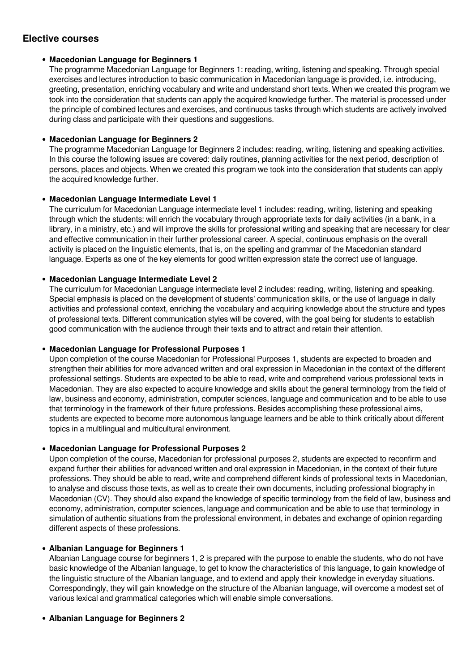# **Elective courses**

## **Macedonian Language for Beginners 1**

The programme Macedonian Language for Beginners 1: reading, writing, listening and speaking. Through special exercises and lectures introduction to basic communication in Macedonian language is provided, i.e. introducing, greeting, presentation, enriching vocabulary and write and understand short texts. When we created this program we took into the consideration that students can apply the acquired knowledge further. The material is processed under the principle of combined lectures and exercises, and continuous tasks through which students are actively involved during class and participate with their questions and suggestions.

## **Macedonian Language for Beginners 2**

The programme Macedonian Language for Beginners 2 includes: reading, writing, listening and speaking activities. In this course the following issues are covered: daily routines, planning activities for the next period, description of persons, places and objects. When we created this program we took into the consideration that students can apply the acquired knowledge further.

## **Macedonian Language Intermediate Level 1**

The curriculum for Macedonian Language intermediate level 1 includes: reading, writing, listening and speaking through which the students: will enrich the vocabulary through appropriate texts for daily activities (in a bank, in a library, in a ministry, etc.) and will improve the skills for professional writing and speaking that are necessary for clear and effective communication in their further professional career. A special, continuous emphasis on the overall activity is placed on the linguistic elements, that is, on the spelling and grammar of the Macedonian standard language. Experts as one of the key elements for good written expression state the correct use of language.

## **Macedonian Language Intermediate Level 2**

The curriculum for Macedonian Language intermediate level 2 includes: reading, writing, listening and speaking. Special emphasis is placed on the development of students' communication skills, or the use of language in daily activities and professional context, enriching the vocabulary and acquiring knowledge about the structure and types of professional texts. Different communication styles will be covered, with the goal being for students to establish good communication with the audience through their texts and to attract and retain their attention.

## **Macedonian Language for Professional Purposes 1**

Upon completion of the course Macedonian for Professional Purposes 1, students are expected to broaden and strengthen their abilities for more advanced written and oral expression in Macedonian in the context of the different professional settings. Students are expected to be able to read, write and comprehend various professional texts in Macedonian. They are also expected to acquire knowledge and skills about the general terminology from the field of law, business and economy, administration, computer sciences, language and communication and to be able to use that terminology in the framework of their future professions. Besides accomplishing these professional aims, students are expected to become more autonomous language learners and be able to think critically about different topics in a multilingual and multicultural environment.

## **Macedonian Language for Professional Purposes 2**

Upon completion of the course, Macedonian for professional purposes 2, students are expected to reconfirm and expand further their abilities for advanced written and oral expression in Macedonian, in the context of their future professions. They should be able to read, write and comprehend different kinds of professional texts in Macedonian, to analyse and discuss those texts, as well as to create their own documents, including professional biography in Macedonian (CV). They should also expand the knowledge of specific terminology from the field of law, business and economy, administration, computer sciences, language and communication and be able to use that terminology in simulation of authentic situations from the professional environment, in debates and exchange of opinion regarding different aspects of these professions.

## **Albanian Language for Beginners 1**

Albanian Language course for beginners 1, 2 is prepared with the purpose to enable the students, who do not have basic knowledge of the Albanian language, to get to know the characteristics of this language, to gain knowledge of the linguistic structure of the Albanian language, and to extend and apply their knowledge in everyday situations. Correspondingly, they will gain knowledge on the structure of the Albanian language, will overcome a modest set of various lexical and grammatical categories which will enable simple conversations.

## **Albanian Language for Beginners 2**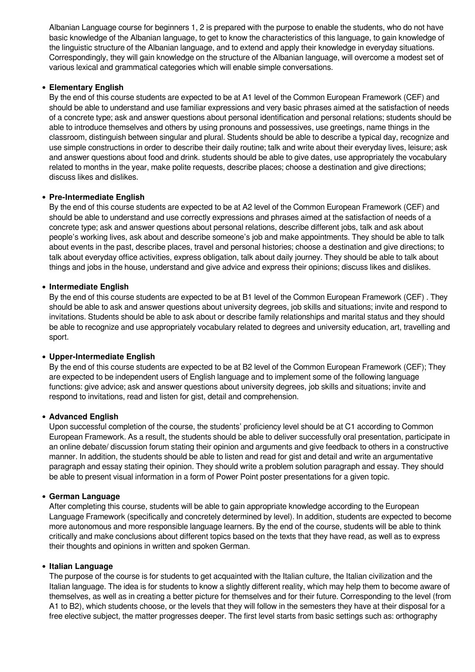Albanian Language course for beginners 1, 2 is prepared with the purpose to enable the students, who do not have basic knowledge of the Albanian language, to get to know the characteristics of this language, to gain knowledge of the linguistic structure of the Albanian language, and to extend and apply their knowledge in everyday situations. Correspondingly, they will gain knowledge on the structure of the Albanian language, will overcome a modest set of various lexical and grammatical categories which will enable simple conversations.

#### **Elementary English**

By the end of this course students are expected to be at A1 level of the Common European Framework (CEF) and should be able to understand and use familiar expressions and very basic phrases aimed at the satisfaction of needs of a concrete type; ask and answer questions about personal identification and personal relations; students should be able to introduce themselves and others by using pronouns and possessives, use greetings, name things in the classroom, distinguish between singular and plural. Students should be able to describe a typical day, recognize and use simple constructions in order to describe their daily routine; talk and write about their everyday lives, leisure; ask and answer questions about food and drink. students should be able to give dates, use appropriately the vocabulary related to months in the year, make polite requests, describe places; choose a destination and give directions; discuss likes and dislikes.

#### **Pre-Intermediate English**

By the end of this course students are expected to be at A2 level of the Common European Framework (CEF) and should be able to understand and use correctly expressions and phrases aimed at the satisfaction of needs of a concrete type; ask and answer questions about personal relations, describe different jobs, talk and ask about people's working lives, ask about and describe someone's job and make appointments. They should be able to talk about events in the past, describe places, travel and personal histories; choose a destination and give directions; to talk about everyday office activities, express obligation, talk about daily journey. They should be able to talk about things and jobs in the house, understand and give advice and express their opinions; discuss likes and dislikes.

#### **Intermediate English**

By the end of this course students are expected to be at B1 level of the Common European Framework (CEF) . They should be able to ask and answer questions about university degrees, job skills and situations; invite and respond to invitations. Students should be able to ask about or describe family relationships and marital status and they should be able to recognize and use appropriately vocabulary related to degrees and university education, art, travelling and sport.

#### **Upper-Intermediate English**

By the end of this course students are expected to be at B2 level of the Common European Framework (CEF); They are expected to be independent users of English language and to implement some of the following language functions: give advice; ask and answer questions about university degrees, job skills and situations; invite and respond to invitations, read and listen for gist, detail and comprehension.

#### **Advanced English**

Upon successful completion of the course, the students' proficiency level should be at C1 according to Common European Framework. As a result, the students should be able to deliver successfully oral presentation, participate in an online debate/ discussion forum stating their opinion and arguments and give feedback to others in a constructive manner. In addition, the students should be able to listen and read for gist and detail and write an argumentative paragraph and essay stating their opinion. They should write a problem solution paragraph and essay. They should be able to present visual information in a form of Power Point poster presentations for a given topic.

#### **German Language**

After completing this course, students will be able to gain appropriate knowledge according to the European Language Framework (specifically and concretely determined by level). In addition, students are expected to become more autonomous and more responsible language learners. By the end of the course, students will be able to think critically and make conclusions about different topics based on the texts that they have read, as well as to express their thoughts and opinions in written and spoken German.

#### **Italian Language**

The purpose of the course is for students to get acquainted with the Italian culture, the Italian civilization and the Italian language. The idea is for students to know a slightly different reality, which may help them to become aware of themselves, as well as in creating a better picture for themselves and for their future. Corresponding to the level (from A1 to B2), which students choose, or the levels that they will follow in the semesters they have at their disposal for a free elective subject, the matter progresses deeper. The first level starts from basic settings such as: orthography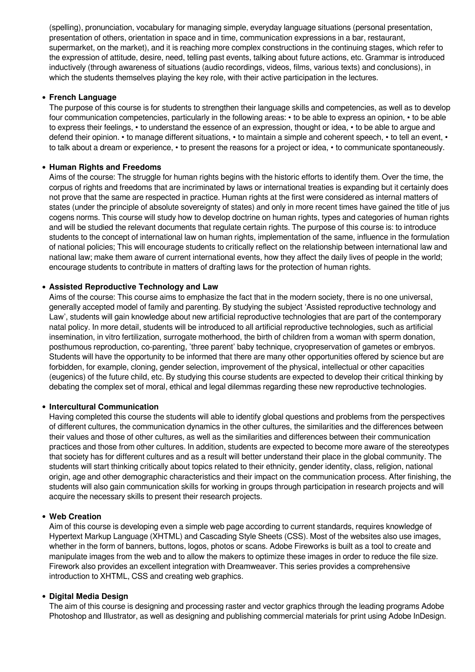(spelling), pronunciation, vocabulary for managing simple, everyday language situations (personal presentation, presentation of others, orientation in space and in time, communication expressions in a bar, restaurant, supermarket, on the market), and it is reaching more complex constructions in the continuing stages, which refer to the expression of attitude, desire, need, telling past events, talking about future actions, etc. Grammar is introduced inductively (through awareness of situations (audio recordings, videos, films, various texts) and conclusions), in which the students themselves playing the key role, with their active participation in the lectures.

#### **French Language**

The purpose of this course is for students to strengthen their language skills and competencies, as well as to develop four communication competencies, particularly in the following areas: • to be able to express an opinion, • to be able to express their feelings, • to understand the essence of an expression, thought or idea, • to be able to argue and defend their opinion. • to manage different situations, • to maintain a simple and coherent speech, • to tell an event, • to talk about a dream or experience, • to present the reasons for a project or idea, • to communicate spontaneously.

#### **Human Rights and Freedoms**

Aims of the course: The struggle for human rights begins with the historic efforts to identify them. Over the time, the corpus of rights and freedoms that are incriminated by laws or international treaties is expanding but it certainly does not prove that the same are respected in practice. Human rights at the first were considered as internal matters of states (under the principle of absolute sovereignty of states) and only in more recent times have gained the title of jus cogens norms. This course will study how to develop doctrine on human rights, types and categories of human rights and will be studied the relevant documents that regulate certain rights. The purpose of this course is: to introduce students to the concept of international law on human rights, implementation of the same, influence in the formulation of national policies; This will encourage students to critically reflect on the relationship between international law and national law; make them aware of current international events, how they affect the daily lives of people in the world; encourage students to contribute in matters of drafting laws for the protection of human rights.

#### **Assisted Reproductive Technology and Law**

Aims of the course: This course aims to emphasize the fact that in the modern society, there is no one universal, generally accepted model of family and parenting. By studying the subject 'Assisted reproductive technology and Law', students will gain knowledge about new artificial reproductive technologies that are part of the contemporary natal policy. In more detail, students will be introduced to all artificial reproductive technologies, such as artificial insemination, in vitro fertilization, surrogate motherhood, the birth of children from a woman with sperm donation, posthumous reproduction, co-parenting, 'three parent' baby technique, cryopreservation of gametes or embryos. Students will have the opportunity to be informed that there are many other opportunities offered by science but are forbidden, for example, cloning, gender selection, improvement of the physical, intellectual or other capacities (eugenics) of the future child, etc. By studying this course students are expected to develop their critical thinking by debating the complex set of moral, ethical and legal dilemmas regarding these new reproductive technologies.

#### **Intercultural Communication**

Having completed this course the students will able to identify global questions and problems from the perspectives of different cultures, the communication dynamics in the other cultures, the similarities and the differences between their values and those of other cultures, as well as the similarities and differences between their communication practices and those from other cultures. In addition, students are expected to become more aware of the stereotypes that society has for different cultures and as a result will better understand their place in the global community. The students will start thinking critically about topics related to their ethnicity, gender identity, class, religion, national origin, age and other demographic characteristics and their impact on the communication process. After finishing, the students will also gain communication skills for working in groups through participation in research projects and will acquire the necessary skills to present their research projects.

#### **Web Creation**

Aim of this course is developing even a simple web page according to current standards, requires knowledge of Hypertext Markup Language (XHTML) and Cascading Style Sheets (CSS). Most of the websites also use images, whether in the form of banners, buttons, logos, photos or scans. Adobe Fireworks is built as a tool to create and manipulate images from the web and to allow the makers to optimize these images in order to reduce the file size. Firework also provides an excellent integration with Dreamweaver. This series provides a comprehensive introduction to XHTML, CSS and creating web graphics.

#### **Digital Media Design**

The aim of this course is designing and processing raster and vector graphics through the leading programs Adobe Photoshop and Illustrator, as well as designing and publishing commercial materials for print using Adobe InDesign.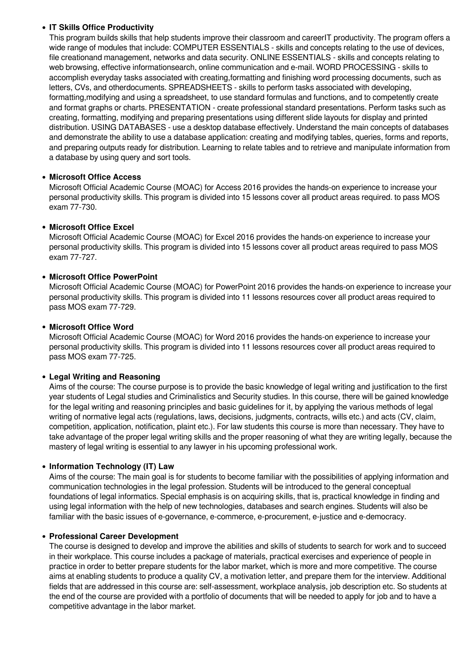## **IT Skills Office Productivity**

This program builds skills that help students improve their classroom and careerIT productivity. The program offers a wide range of modules that include: COMPUTER ESSENTIALS - skills and concepts relating to the use of devices, file creationand management, networks and data security. ONLINE ESSENTIALS - skills and concepts relating to web browsing, effective informationsearch, online communication and e-mail. WORD PROCESSING - skills to accomplish everyday tasks associated with creating,formatting and finishing word processing documents, such as letters, CVs, and otherdocuments. SPREADSHEETS - skills to perform tasks associated with developing, formatting,modifying and using a spreadsheet, to use standard formulas and functions, and to competently create and format graphs or charts. PRESENTATION - create professional standard presentations. Perform tasks such as creating, formatting, modifying and preparing presentations using different slide layouts for display and printed distribution. USING DATABASES - use a desktop database effectively. Understand the main concepts of databases and demonstrate the ability to use a database application: creating and modifying tables, queries, forms and reports, and preparing outputs ready for distribution. Learning to relate tables and to retrieve and manipulate information from a database by using query and sort tools.

## **Microsoft Office Access**

Microsoft Official Academic Course (MOAC) for Access 2016 provides the hands-on experience to increase your personal productivity skills. This program is divided into 15 lessons cover all product areas required. to pass MOS exam 77-730.

## **Microsoft Office Excel**

Microsoft Official Academic Course (MOAC) for Excel 2016 provides the hands-on experience to increase your personal productivity skills. This program is divided into 15 lessons cover all product areas required to pass MOS exam 77-727.

## **Microsoft Office PowerPoint**

Microsoft Official Academic Course (MOAC) for PowerPoint 2016 provides the hands-on experience to increase your personal productivity skills. This program is divided into 11 lessons resources cover all product areas required to pass MOS exam 77-729.

#### **Microsoft Office Word**

Microsoft Official Academic Course (MOAC) for Word 2016 provides the hands-on experience to increase your personal productivity skills. This program is divided into 11 lessons resources cover all product areas required to pass MOS exam 77-725.

#### **Legal Writing and Reasoning**

Aims of the course: The course purpose is to provide the basic knowledge of legal writing and justification to the first year students of Legal studies and Criminalistics and Security studies. In this course, there will be gained knowledge for the legal writing and reasoning principles and basic guidelines for it, by applying the various methods of legal writing of normative legal acts (regulations, laws, decisions, judgments, contracts, wills etc.) and acts (CV, claim, competition, application, notification, plaint etc.). For law students this course is more than necessary. They have to take advantage of the proper legal writing skills and the proper reasoning of what they are writing legally, because the mastery of legal writing is essential to any lawyer in his upcoming professional work.

#### **Information Technology (IT) Law**

Aims of the course: The main goal is for students to become familiar with the possibilities of applying information and communication technologies in the legal profession. Students will be introduced to the general conceptual foundations of legal informatics. Special emphasis is on acquiring skills, that is, practical knowledge in finding and using legal information with the help of new technologies, databases and search engines. Students will also be familiar with the basic issues of e-governance, e-commerce, e-procurement, e-justice and e-democracy.

#### **Professional Careеr Development**

The course is designed to develop and improve the abilities and skills of students to search for work and to succeed in their workplace. This course includes a package of materials, practical exercises and experience of people in practice in order to better prepare students for the labor market, which is more and more competitive. The course aims at enabling students to produce a quality CV, a motivation letter, and prepare them for the interview. Additional fields that are addressed in this course are: self-assessment, workplace analysis, job description etc. So students at the end of the course are provided with a portfolio of documents that will be needed to apply for job and to have a competitive advantage in the labor market.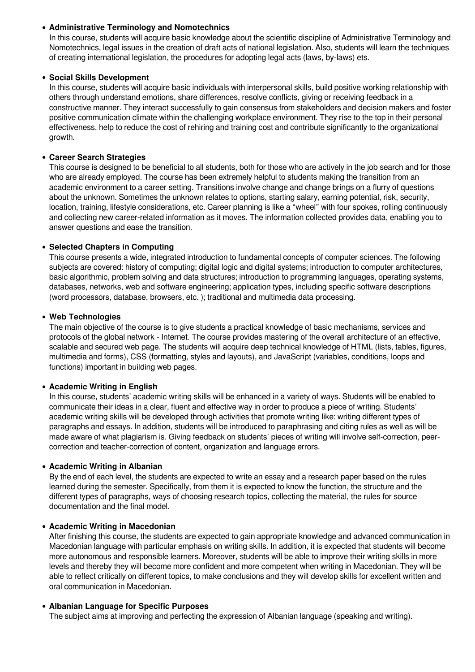#### **Administrative Terminology and Nomotechnics**

In this course, students will acquire basic knowledge about the scientific discipline of Administrative Terminology and Nomotechnics, legal issues in the creation of draft acts of national legislation. Also, students will learn the techniques of creating international legislation, the procedures for adopting legal acts (laws, by-laws) ets.

#### **Social Skills Development**

In this course, students will acquire basic individuals with interpersonal skills, build positive working relationship with others through understand emotions, share differences, resolve conflicts, giving or receiving feedback in a constructive manner. They interact successfully to gain consensus from stakeholders and decision makers and foster positive communication climate within the challenging workplace environment. They rise to the top in their personal effectiveness, help to reduce the cost of rehiring and training cost and contribute significantly to the organizational growth.

## **Career Search Strategies**

This course is designed to be beneficial to all students, both for those who are actively in the job search and for those who are already employed. The course has been extremely helpful to students making the transition from an academic environment to a career setting. Transitions involve change and change brings on a flurry of questions about the unknown. Sometimes the unknown relates to options, starting salary, earning potential, risk, security, location, training, lifestyle considerations, etc. Career planning is like a "wheel" with four spokes, rolling continuously and collecting new career-related information as it moves. The information collected provides data, enabling you to answer questions and ease the transition.

## **Selected Chapters in Computing**

This course presents a wide, integrated introduction to fundamental concepts of computer sciences. The following subjects are covered: history of computing; digital logic and digital systems; introduction to computer architectures, basic algorithmic, problem solving and data structures; introduction to programming languages, operating systems, databases, networks, web and software engineering; application types, including specific software descriptions (word processors, database, browsers, etc. ); traditional and multimedia data processing.

## **Web Technologies**

The main objective of the course is to give students a practical knowledge of basic mechanisms, services and protocols of the global network - Internet. The course provides mastering of the overall architecture of an effective, scalable and secured web page. The students will acquire deep technical knowledge of HTML (lists, tables, figures, multimedia and forms), CSS (formatting, styles and layouts), and JavaScript (variables, conditions, loops and functions) important in building web pages.

#### **Academic Writing in English**

In this course, students' academic writing skills will be enhanced in a variety of ways. Students will be enabled to communicate their ideas in a clear, fluent and effective way in order to produce a piece of writing. Students' academic writing skills will be developed through activities that promote writing like: writing different types of paragraphs and essays. In addition, students will be introduced to paraphrasing and citing rules as well as will be made aware of what plagiarism is. Giving feedback on students' pieces of writing will involve self-correction, peercorrection and teacher-correction of content, organization and language errors.

#### **Academic Writing in Albanian**

By the end of each level, the students are expected to write an essay and a research paper based on the rules learned during the semester. Specifically, from them it is expected to know the function, the structure and the different types of paragraphs, ways of choosing research topics, collecting the material, the rules for source documentation and the final model.

#### **Academic Writing in Macedonian**

After finishing this course, the students are expected to gain appropriate knowledge and advanced communication in Macedonian language with particular emphasis on writing skills. In addition, it is expected that students will become more autonomous and responsible learners. Moreover, students will be able to improve their writing skills in more levels and thereby they will become more confident and more competent when writing in Macedonian. They will be able to reflect critically on different topics, to make conclusions and they will develop skills for excellent written and oral communication in Macedonian.

#### **Albanian Language for Specific Purposes**

The subject aims at improving and perfecting the expression of Albanian language (speaking and writing).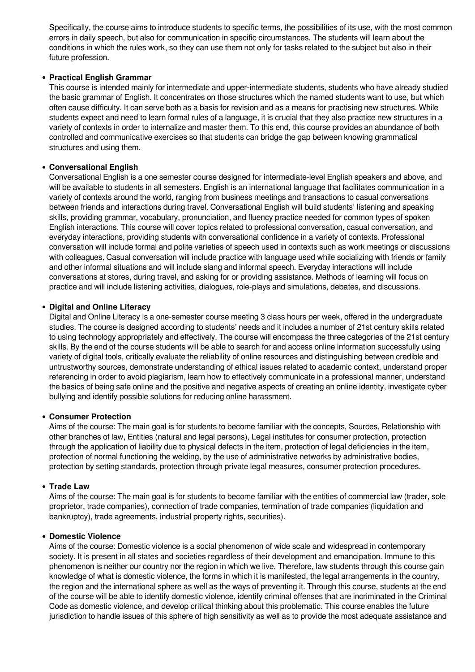Specifically, the course aims to introduce students to specific terms, the possibilities of its use, with the most common errors in daily speech, but also for communication in specific circumstances. The students will learn about the conditions in which the rules work, so they can use them not only for tasks related to the subject but also in their future profession.

#### **Practical English Grammar**

This course is intended mainly for intermediate and upper-intermediate students, students who have already studied the basic grammar of English. It concentrates on those structures which the named students want to use, but which often cause difficulty. It can serve both as a basis for revision and as a means for practising new structures. While students expect and need to learn formal rules of a language, it is crucial that they also practice new structures in a variety of contexts in order to internalize and master them. To this end, this course provides an abundance of both controlled and communicative exercises so that students can bridge the gap between knowing grammatical structures and using them.

## **Conversational English**

Conversational English is a one semester course designed for intermediate-level English speakers and above, and will be available to students in all semesters. English is an international language that facilitates communication in a variety of contexts around the world, ranging from business meetings and transactions to casual conversations between friends and interactions during travel. Conversational English will build students' listening and speaking skills, providing grammar, vocabulary, pronunciation, and fluency practice needed for common types of spoken English interactions. This course will cover topics related to professional conversation, casual conversation, and everyday interactions, providing students with conversational confidence in a variety of contexts. Professional conversation will include formal and polite varieties of speech used in contexts such as work meetings or discussions with colleagues. Casual conversation will include practice with language used while socializing with friends or family and other informal situations and will include slang and informal speech. Everyday interactions will include conversations at stores, during travel, and asking for or providing assistance. Methods of learning will focus on practice and will include listening activities, dialogues, role-plays and simulations, debates, and discussions.

## **Digital and Online Literacy**

Digital and Online Literacy is a one-semester course meeting 3 class hours per week, offered in the undergraduate studies. The course is designed according to students' needs and it includes a number of 21st century skills related to using technology appropriately and effectively. The course will encompass the three categories of the 21st century skills. By the end of the course students will be able to search for and access online information successfully using variety of digital tools, critically evaluate the reliability of online resources and distinguishing between credible and untrustworthy sources, demonstrate understanding of ethical issues related to academic context, understand proper referencing in order to avoid plagiarism, learn how to effectively communicate in a professional manner, understand the basics of being safe online and the positive and negative aspects of creating an online identity, investigate cyber bullying and identify possible solutions for reducing online harassment.

#### **Consumer Protection**

Aims of the course: The main goal is for students to become familiar with the concepts, Sources, Relationship with other branches of law, Entities (natural and legal persons), Legal institutes for consumer protection, protection through the application of liability due to physical defects in the item, protection of legal deficiencies in the item, protection of normal functioning the welding, by the use of administrative networks by administrative bodies, protection by setting standards, protection through private legal measures, consumer protection procedures.

#### **Trade Law**

Aims of the course: The main goal is for students to become familiar with the entities of commercial law (trader, sole proprietor, trade companies), connection of trade companies, termination of trade companies (liquidation and bankruptcy), trade agreements, industrial property rights, securities).

#### **Domestic Violence**

Aims of the course: Domestic violence is a social phenomenon of wide scale and widespread in contemporary society. It is present in all states and societies regardless of their development and emancipation. Immune to this phenomenon is neither our country nor the region in which we live. Therefore, law students through this course gain knowledge of what is domestic violence, the forms in which it is manifested, the legal arrangements in the country, the region and the international sphere as well as the ways of preventing it. Through this course, students at the end of the course will be able to identify domestic violence, identify criminal offenses that are incriminated in the Criminal Code as domestic violence, and develop critical thinking about this problematic. This course enables the future jurisdiction to handle issues of this sphere of high sensitivity as well as to provide the most adequate assistance and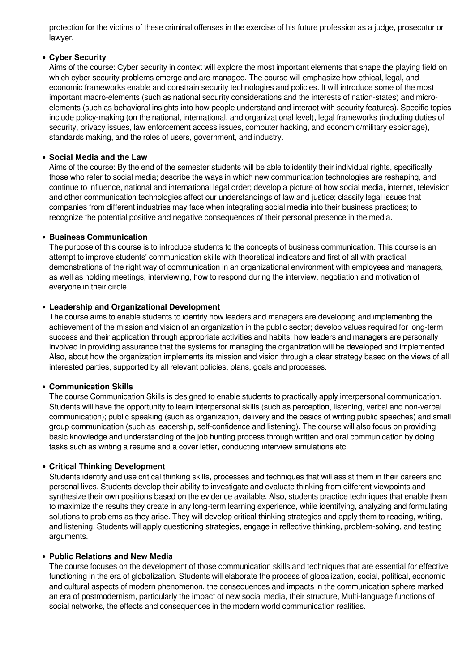protection for the victims of these criminal offenses in the exercise of his future profession as a judge, prosecutor or lawyer.

#### **Cyber Security**

Aims of the course: Cyber security in context will explore the most important elements that shape the playing field on which cyber security problems emerge and are managed. The course will emphasize how ethical, legal, and economic frameworks enable and constrain security technologies and policies. It will introduce some of the most important macro-elements (such as national security considerations and the interests of nation-states) and microelements (such as behavioral insights into how people understand and interact with security features). Specific topics include policy-making (on the national, international, and organizational level), legal frameworks (including duties of security, privacy issues, law enforcement access issues, computer hacking, and economic/military espionage), standards making, and the roles of users, government, and industry.

#### **Social Media and the Law**

Aims of the course: By the end of the semester students will be able to:identify their individual rights, specifically those who refer to social media; describe the ways in which new communication technologies are reshaping, and continue to influence, national and international legal order; develop a picture of how social media, internet, television and other communication technologies affect our understandings of law and justice; classify legal issues that companies from different industries may face when integrating social media into their business practices; to recognize the potential positive and negative consequences of their personal presence in the media.

#### **Business Communication**

The purpose of this course is to introduce students to the concepts of business communication. This course is an attempt to improve students' communication skills with theoretical indicators and first of all with practical demonstrations of the right way of communication in an organizational environment with employees and managers, as well as holding meetings, interviewing, how to respond during the interview, negotiation and motivation of everyone in their circle.

#### **Leadership and Organizational Development**

The course aims to enable students to identify how leaders and managers are developing and implementing the achievement of the mission and vision of an organization in the public sector; develop values required for long-term success and their application through appropriate activities and habits; how leaders and managers are personally involved in providing assurance that the systems for managing the organization will be developed and implemented. Also, about how the organization implements its mission and vision through a clear strategy based on the views of all interested parties, supported by all relevant policies, plans, goals and processes.

#### **Communication Skills**

The course Communication Skills is designed to enable students to practically apply interpersonal communication. Students will have the opportunity to learn interpersonal skills (such as perception, listening, verbal and non-verbal communication); public speaking (such as organization, delivery and the basics of writing public speeches) and small group communication (such as leadership, self-confidence and listening). The course will also focus on providing basic knowledge and understanding of the job hunting process through written and oral communication by doing tasks such as writing a resume and a cover letter, conducting interview simulations etc.

#### **Critical Thinking Development**

Students identify and use critical thinking skills, processes and techniques that will assist them in their careers and personal lives. Students develop their ability to investigate and evaluate thinking from different viewpoints and synthesize their own positions based on the evidence available. Also, students practice techniques that enable them to maximize the results they create in any long-term learning experience, while identifying, analyzing and formulating solutions to problems as they arise. They will develop critical thinking strategies and apply them to reading, writing, and listening. Students will apply questioning strategies, engage in reflective thinking, problem-solving, and testing arguments.

#### **Public Relations and New Media**

The course focuses on the development of those communication skills and techniques that are essential for effective functioning in the era of globalization. Students will elaborate the process of globalization, social, political, economic and cultural aspects of modern phenomenon, the consequences and impacts in the communication sphere marked an era of postmodernism, particularly the impact of new social media, their structure, Multi-language functions of social networks, the effects and consequences in the modern world communication realities.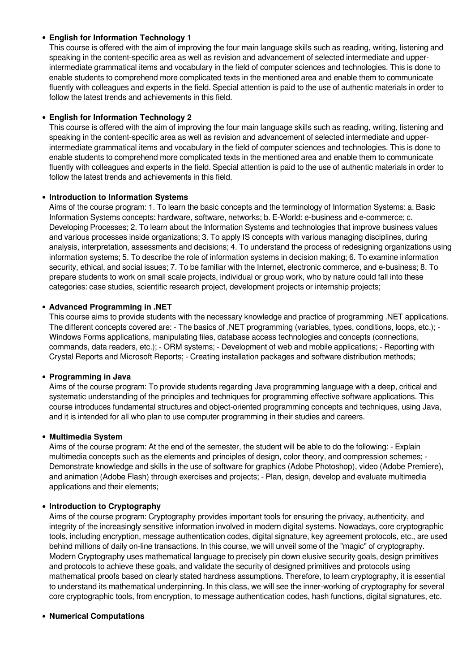## **English for Information Technology 1**

This course is offered with the aim of improving the four main language skills such as reading, writing, listening and speaking in the content-specific area as well as revision and advancement of selected intermediate and upperintermediate grammatical items and vocabulary in the field of computer sciences and technologies. This is done to enable students to comprehend more complicated texts in the mentioned area and enable them to communicate fluently with colleagues and experts in the field. Special attention is paid to the use of authentic materials in order to follow the latest trends and achievements in this field.

## **English for Information Technology 2**

This course is offered with the aim of improving the four main language skills such as reading, writing, listening and speaking in the content-specific area as well as revision and advancement of selected intermediate and upperintermediate grammatical items and vocabulary in the field of computer sciences and technologies. This is done to enable students to comprehend more complicated texts in the mentioned area and enable them to communicate fluently with colleagues and experts in the field. Special attention is paid to the use of authentic materials in order to follow the latest trends and achievements in this field.

#### **Introduction to Information Systems**

Aims of the course program: 1. To learn the basic concepts and the terminology of Information Systems: a. Basic Information Systems concepts: hardware, software, networks; b. E-World: e-business and e-commerce; c. Developing Processes; 2. To learn about the Information Systems and technologies that improve business values and various processes inside organizations; 3. To apply IS concepts with various managing disciplines, during analysis, interpretation, assessments and decisions; 4. To understand the process of redesigning organizations using information systems; 5. To describe the role of information systems in decision making; 6. To examine information security, ethical, and social issues; 7. To be familiar with the Internet, electronic commerce, and e-business; 8. To prepare students to work on small scale projects, individual or group work, who by nature could fall into these categories: case studies, scientific research project, development projects or internship projects;

#### **Advanced Programming in .NET**

This course aims to provide students with the necessary knowledge and practice of programming .NET applications. The different concepts covered are: - The basics of .NET programming (variables, types, conditions, loops, etc.); - Windows Forms applications, manipulating files, database access technologies and concepts (connections, commands, data readers, etc.); - ORM systems; - Development of web and mobile applications; - Reporting with Crystal Reports and Microsoft Reports; - Creating installation packages and software distribution methods;

#### **Programming in Java**

Aims of the course program: To provide students regarding Java programming language with a deep, critical and systematic understanding of the principles and techniques for programming effective software applications. This course introduces fundamental structures and object-oriented programming concepts and techniques, using Java, and it is intended for all who plan to use computer programming in their studies and careers.

#### **Multimedia System**

Aims of the course program: At the end of the semester, the student will be able to do the following: - Explain multimedia concepts such as the elements and principles of design, color theory, and compression schemes; - Demonstrate knowledge and skills in the use of software for graphics (Adobe Photoshop), video (Adobe Premiere), and animation (Adobe Flash) through exercises and projects; - Plan, design, develop and evaluate multimedia applications and their elements;

#### **Introduction to Cryptography**

Aims of the course program: Cryptography provides important tools for ensuring the privacy, authenticity, and integrity of the increasingly sensitive information involved in modern digital systems. Nowadays, core cryptographic tools, including encryption, message authentication codes, digital signature, key agreement protocols, etc., are used behind millions of daily on-line transactions. In this course, we will unveil some of the "magic" of cryptography. Modern Cryptography uses mathematical language to precisely pin down elusive security goals, design primitives and protocols to achieve these goals, and validate the security of designed primitives and protocols using mathematical proofs based on clearly stated hardness assumptions. Therefore, to learn cryptography, it is essential to understand its mathematical underpinning. In this class, we will see the inner-working of cryptography for several core cryptographic tools, from encryption, to message authentication codes, hash functions, digital signatures, etc.

#### **Numerical Computations**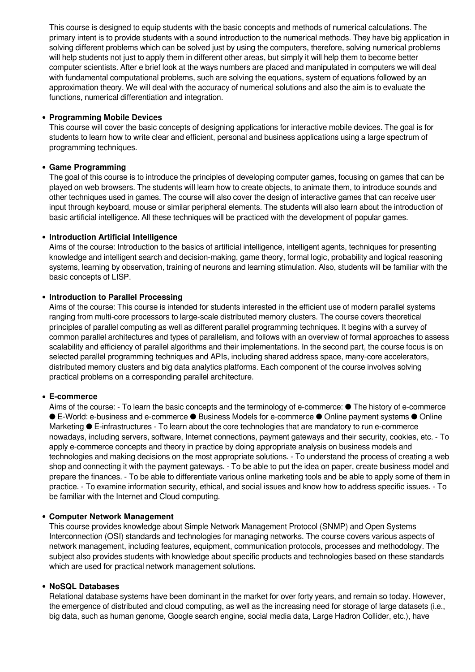This course is designed to equip students with the basic concepts and methods of numerical calculations. The primary intent is to provide students with a sound introduction to the numerical methods. They have big application in solving different problems which can be solved just by using the computers, therefore, solving numerical problems will help students not just to apply them in different other areas, but simply it will help them to become better computer scientists. After e brief look at the ways numbers are placed and manipulated in computers we will deal with fundamental computational problems, such are solving the equations, system of equations followed by an approximation theory. We will deal with the accuracy of numerical solutions and also the aim is to evaluate the functions, numerical differentiation and integration.

#### **Programming Mobile Devices**

This course will cover the basic concepts of designing applications for interactive mobile devices. The goal is for students to learn how to write clear and efficient, personal and business applications using a large spectrum of programming techniques.

#### **Game Programming**

The goal of this course is to introduce the principles of developing computer games, focusing on games that can be played on web browsers. The students will learn how to create objects, to animate them, to introduce sounds and other techniques used in games. The course will also cover the design of interactive games that can receive user input through keyboard, mouse or similar peripheral elements. The students will also learn about the introduction of basic artificial intelligence. All these techniques will be practiced with the development of popular games.

#### **Introduction Artificial Intelligence**

Aims of the course: Introduction to the basics of artificial intelligence, intelligent agents, techniques for presenting knowledge and intelligent search and decision-making, game theory, formal logic, probability and logical reasoning systems, learning by observation, training of neurons and learning stimulation. Also, students will be familiar with the basic concepts of LISP.

#### **Introduction to Parallel Processing**

Aims of the course: This course is intended for students interested in the efficient use of modern parallel systems ranging from multi-core processors to large-scale distributed memory clusters. The course covers theoretical principles of parallel computing as well as different parallel programming techniques. It begins with a survey of common parallel architectures and types of parallelism, and follows with an overview of formal approaches to assess scalability and efficiency of parallel algorithms and their implementations. In the second part, the course focus is on selected parallel programming techniques and APIs, including shared address space, many-core accelerators, distributed memory clusters and big data analytics platforms. Each component of the course involves solving practical problems on a corresponding parallel architecture.

#### **Е-commerce**

Aims of the course: - To learn the basic concepts and the terminology of e-commerce: ● The history of e-commerce ● E-World: e-business and e-commerce ● Business Models for e-commerce ● Online payment systems ● Online Marketing ● E-infrastructures - To learn about the core technologies that are mandatory to run e-commerce nowadays, including servers, software, Internet connections, payment gateways and their security, cookies, etc. - To apply e-commerce concepts and theory in practice by doing appropriate analysis on business models and technologies and making decisions on the most appropriate solutions. - To understand the process of creating a web shop and connecting it with the payment gateways. - To be able to put the idea on paper, create business model and prepare the finances. - To be able to differentiate various online marketing tools and be able to apply some of them in practice. - To examine information security, ethical, and social issues and know how to address specific issues. - To be familiar with the Internet and Cloud computing.

#### **Computer Network Management**

This course provides knowledge about Simple Network Management Protocol (SNMP) and Open Systems Interconnection (OSI) standards and technologies for managing networks. The course covers various aspects of network management, including features, equipment, communication protocols, processes and methodology. The subject also provides students with knowledge about specific products and technologies based on these standards which are used for practical network management solutions.

#### **NoSQL Databases**

Relational database systems have been dominant in the market for over forty years, and remain so today. However, the emergence of distributed and cloud computing, as well as the increasing need for storage of large datasets (i.e., big data, such as human genome, Google search engine, social media data, Large Hadron Collider, etc.), have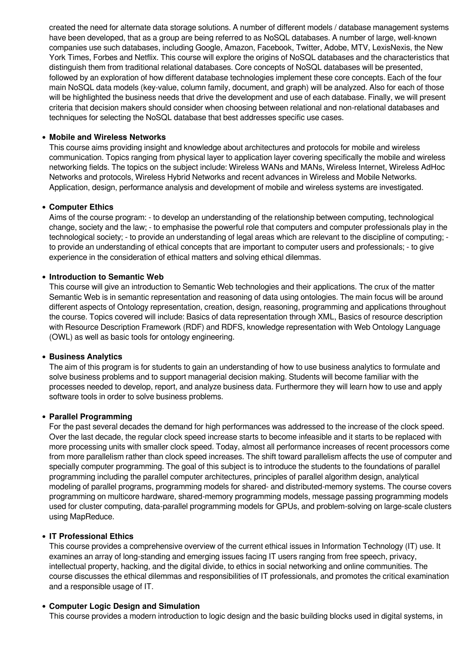created the need for alternate data storage solutions. A number of different models / database management systems have been developed, that as a group are being referred to as NoSQL databases. A number of large, well-known companies use such databases, including Google, Amazon, Facebook, Twitter, Adobe, MTV, LexisNexis, the New York Times, Forbes and Netflix. This course will explore the origins of NoSQL databases and the characteristics that distinguish them from traditional relational databases. Core concepts of NoSQL databases will be presented, followed by an exploration of how different database technologies implement these core concepts. Each of the four main NoSQL data models (key-value, column family, document, and graph) will be analyzed. Also for each of those will be highlighted the business needs that drive the development and use of each database. Finally, we will present criteria that decision makers should consider when choosing between relational and non-relational databases and techniques for selecting the NoSQL database that best addresses specific use cases.

#### **Mobile and Wireless Networks**

This course aims providing insight and knowledge about architectures and protocols for mobile and wireless communication. Topics ranging from physical layer to application layer covering specifically the mobile and wireless networking fields. The topics on the subject include: Wireless WANs and MANs, Wireless Internet, Wireless AdHoc Networks and protocols, Wireless Hybrid Networks and recent advances in Wireless and Mobile Networks. Application, design, performance analysis and development of mobile and wireless systems are investigated.

#### **Computer Ethics**

Aims of the course program: - to develop an understanding of the relationship between computing, technological change, society and the law; - to emphasise the powerful role that computers and computer professionals play in the technological society; - to provide an understanding of legal areas which are relevant to the discipline of computing; to provide an understanding of ethical concepts that are important to computer users and professionals; - to give experience in the consideration of ethical matters and solving ethical dilemmas.

#### **Introduction to Semantic Web**

This course will give an introduction to Semantic Web technologies and their applications. The crux of the matter Semantic Web is in semantic representation and reasoning of data using ontologies. The main focus will be around different aspects of Ontology representation, creation, design, reasoning, programming and applications throughout the course. Topics covered will include: Basics of data representation through XML, Basics of resource description with Resource Description Framework (RDF) and RDFS, knowledge representation with Web Ontology Language (OWL) as well as basic tools for ontology engineering.

#### **Business Analytics**

The aim of this program is for students to gain an understanding of how to use business analytics to formulate and solve business problems and to support managerial decision making. Students will become familiar with the processes needed to develop, report, and analyze business data. Furthermore they will learn how to use and apply software tools in order to solve business problems.

#### **Parallel Programming**

For the past several decades the demand for high performances was addressed to the increase of the clock speed. Over the last decade, the regular clock speed increase starts to become infeasible and it starts to be replaced with more processing units with smaller clock speed. Today, almost all performance increases of recent processors come from more parallelism rather than clock speed increases. The shift toward parallelism affects the use of computer and specially computer programming. The goal of this subject is to introduce the students to the foundations of parallel programming including the parallel computer architectures, principles of parallel algorithm design, analytical modeling of parallel programs, programming models for shared- and distributed-memory systems. The course covers programming on multicore hardware, shared-memory programming models, message passing programming models used for cluster computing, data-parallel programming models for GPUs, and problem-solving on large-scale clusters using MapReduce.

#### **IT Professional Ethics**

This course provides a comprehensive overview of the current ethical issues in Information Technology (IT) use. It examines an array of long-standing and emerging issues facing IT users ranging from free speech, privacy, intellectual property, hacking, and the digital divide, to ethics in social networking and online communities. The course discusses the ethical dilemmas and responsibilities of IT professionals, and promotes the critical examination and a responsible usage of IT.

#### **Computer Logic Design and Simulation**

This course provides a modern introduction to logic design and the basic building blocks used in digital systems, in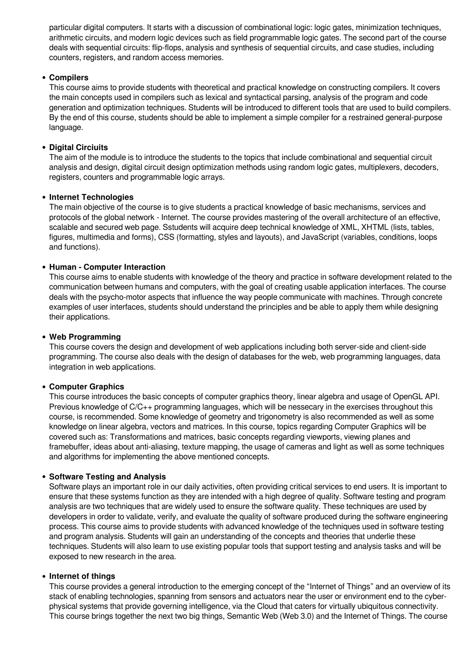particular digital computers. It starts with a discussion of combinational logic: logic gates, minimization techniques, arithmetic circuits, and modern logic devices such as field programmable logic gates. The second part of the course deals with sequential circuits: flip-flops, analysis and synthesis of sequential circuits, and case studies, including counters, registers, and random access memories.

## **Compilers**

This course aims to provide students with theoretical and practical knowledge on constructing compilers. It covers the main concepts used in compilers such as lexical and syntactical parsing, analysis of the program and code generation and optimization techniques. Students will be introduced to different tools that are used to build compilers. By the end of this course, students should be able to implement a simple compiler for a restrained general-purpose language.

## **Digital Circiuits**

The aim of the module is to introduce the students to the topics that include combinational and sequential circuit analysis and design, digital circuit design optimization methods using random logic gates, multiplexers, decoders, registers, counters and programmable logic arrays.

## **Internet Technologies**

The main objective of the course is to give students a practical knowledge of basic mechanisms, services and protocols of the global network - Internet. The course provides mastering of the overall architecture of an effective, scalable and secured web page. Sstudents will acquire deep technical knowledge of XML, XHTML (lists, tables, figures, multimedia and forms), CSS (formatting, styles and layouts), and JavaScript (variables, conditions, loops and functions).

## **Human - Computer Interaction**

This course aims to enable students with knowledge of the theory and practice in software development related to the communication between humans and computers, with the goal of creating usable application interfaces. The course deals with the psycho-motor aspects that influence the way people communicate with machines. Through concrete examples of user interfaces, students should understand the principles and be able to apply them while designing their applications.

#### **Web Programming**

This course covers the design and development of web applications including both server-side and client-side programming. The course also deals with the design of databases for the web, web programming languages, data integration in web applications.

#### **Computer Graphics**

This course introduces the basic concepts of computer graphics theory, linear algebra and usage of OpenGL API. Previous knowledge of C/C++ programming languages, which will be nessecary in the exercises throughout this course, is recommended. Some knowledge of geometry and trigonometry is also recommended as well as some knowledge on linear algebra, vectors and matrices. In this course, topics regarding Computer Graphics will be covered such as: Transformations and matrices, basic concepts regarding viewports, viewing planes and framebuffer, ideas about anti-aliasing, texture mapping, the usage of cameras and light as well as some techniques and algorithms for implementing the above mentioned concepts.

#### **Software Testing and Analysis**

Software plays an important role in our daily activities, often providing critical services to end users. It is important to ensure that these systems function as they are intended with a high degree of quality. Software testing and program analysis are two techniques that are widely used to ensure the software quality. These techniques are used by developers in order to validate, verify, and evaluate the quality of software produced during the software engineering process. This course aims to provide students with advanced knowledge of the techniques used in software testing and program analysis. Students will gain an understanding of the concepts and theories that underlie these techniques. Students will also learn to use existing popular tools that support testing and analysis tasks and will be exposed to new research in the area.

#### **Internet of things**

This course provides a general introduction to the emerging concept of the "Internet of Things" and an overview of its stack of enabling technologies, spanning from sensors and actuators near the user or environment end to the cyberphysical systems that provide governing intelligence, via the Cloud that caters for virtually ubiquitous connectivity. This course brings together the next two big things, Semantic Web (Web 3.0) and the Internet of Things. The course